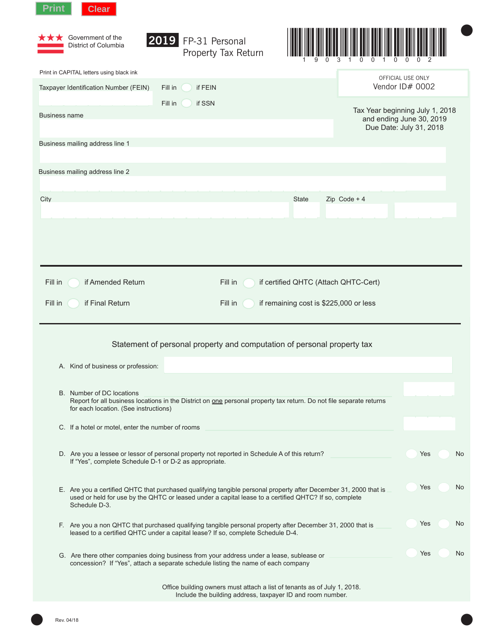| <b>Print</b>         | <b>Clear</b>                                                       |                                                                                                                                                                                                                           |                                        |                                 |                         |    |
|----------------------|--------------------------------------------------------------------|---------------------------------------------------------------------------------------------------------------------------------------------------------------------------------------------------------------------------|----------------------------------------|---------------------------------|-------------------------|----|
|                      | Government of the<br>District of Columbia                          | 2019 FP-31 Personal<br>Property Tax Return                                                                                                                                                                                |                                        |                                 |                         |    |
|                      | Print in CAPITAL letters using black ink                           |                                                                                                                                                                                                                           |                                        |                                 | OFFICIAL USE ONLY       |    |
|                      | Taxpayer Identification Number (FEIN)                              | Fill in<br>if FEIN                                                                                                                                                                                                        |                                        |                                 | Vendor ID# 0002         |    |
|                      |                                                                    | Fill in<br>if SSN                                                                                                                                                                                                         |                                        | Tax Year beginning July 1, 2018 |                         |    |
| <b>Business name</b> |                                                                    |                                                                                                                                                                                                                           |                                        | and ending June 30, 2019        | Due Date: July 31, 2018 |    |
|                      | Business mailing address line 1                                    |                                                                                                                                                                                                                           |                                        |                                 |                         |    |
|                      | Business mailing address line 2                                    |                                                                                                                                                                                                                           |                                        |                                 |                         |    |
|                      |                                                                    |                                                                                                                                                                                                                           |                                        |                                 |                         |    |
| City                 |                                                                    |                                                                                                                                                                                                                           | <b>State</b>                           | Zip Code + $4$                  |                         |    |
|                      |                                                                    |                                                                                                                                                                                                                           |                                        |                                 |                         |    |
|                      |                                                                    |                                                                                                                                                                                                                           |                                        |                                 |                         |    |
|                      |                                                                    |                                                                                                                                                                                                                           |                                        |                                 |                         |    |
|                      |                                                                    |                                                                                                                                                                                                                           |                                        |                                 |                         |    |
| Fill in              | if Amended Return                                                  | Fill in                                                                                                                                                                                                                   | if certified QHTC (Attach QHTC-Cert)   |                                 |                         |    |
| Fill in              | if Final Return                                                    | Fill in                                                                                                                                                                                                                   | if remaining cost is \$225,000 or less |                                 |                         |    |
|                      |                                                                    | Statement of personal property and computation of personal property tax                                                                                                                                                   |                                        |                                 |                         |    |
|                      | A. Kind of business or profession:                                 |                                                                                                                                                                                                                           |                                        |                                 |                         |    |
|                      |                                                                    |                                                                                                                                                                                                                           |                                        |                                 |                         |    |
|                      | B. Number of DC locations<br>for each location. (See instructions) | Report for all business locations in the District on one personal property tax return. Do not file separate returns                                                                                                       |                                        |                                 |                         |    |
|                      | C. If a hotel or motel, enter the number of rooms                  |                                                                                                                                                                                                                           |                                        |                                 |                         |    |
|                      |                                                                    |                                                                                                                                                                                                                           |                                        |                                 |                         |    |
|                      | If "Yes", complete Schedule D-1 or D-2 as appropriate.             | D. Are you a lessee or lessor of personal property not reported in Schedule A of this return?                                                                                                                             |                                        |                                 | Yes                     | No |
|                      | Schedule D-3.                                                      | E. Are you a certified QHTC that purchased qualifying tangible personal property after December 31, 2000 that is<br>used or held for use by the QHTC or leased under a capital lease to a certified QHTC? If so, complete |                                        |                                 | Yes                     | No |
|                      |                                                                    | F. Are you a non QHTC that purchased qualifying tangible personal property after December 31, 2000 that is<br>leased to a certified QHTC under a capital lease? If so, complete Schedule D-4.                             |                                        |                                 | Yes                     | No |
|                      |                                                                    | G. Are there other companies doing business from your address under a lease, sublease or<br>concession? If "Yes", attach a separate schedule listing the name of each company                                             |                                        |                                 | Yes                     | No |
|                      |                                                                    | Office building owners must attach a list of tenants as of July 1, 2018.<br>Include the building address, taxpayer ID and room number.                                                                                    |                                        |                                 |                         |    |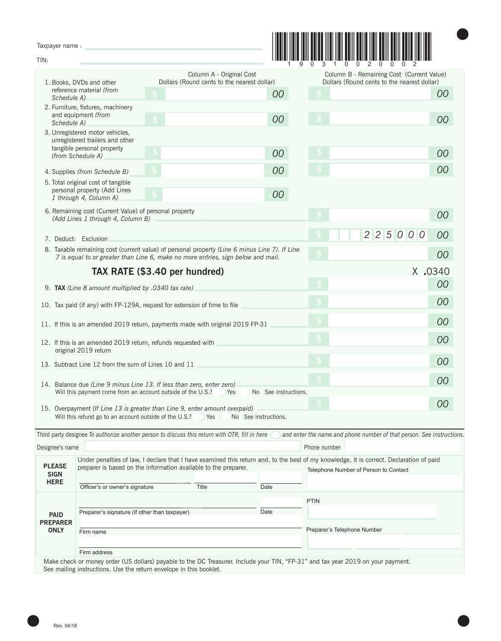Taxpayer name :

|  |  | <u> 1999 - Johann Maria Maria Maria Maria Maria Maria Maria Maria Maria Maria Maria Maria Maria Maria Maria Mari</u> |  |
|--|--|----------------------------------------------------------------------------------------------------------------------|--|
|  |  |                                                                                                                      |  |

 $\bullet$ 

| raxpayer riame:                |                                                                                                                                                                                                        |                                                                 |                                                                         |                      |                             |                                                                                                                                                                                  |    |  |
|--------------------------------|--------------------------------------------------------------------------------------------------------------------------------------------------------------------------------------------------------|-----------------------------------------------------------------|-------------------------------------------------------------------------|----------------------|-----------------------------|----------------------------------------------------------------------------------------------------------------------------------------------------------------------------------|----|--|
| TIN:                           |                                                                                                                                                                                                        |                                                                 |                                                                         |                      |                             |                                                                                                                                                                                  |    |  |
|                                | 1. Books, DVDs and other                                                                                                                                                                               |                                                                 | Column A - Original Cost<br>Dollars (Round cents to the nearest dollar) |                      |                             | Column B - Remaining Cost (Current Value)<br>Dollars (Round cents to the nearest dollar)                                                                                         |    |  |
|                                | reference material (from<br>Schedule A)                                                                                                                                                                |                                                                 |                                                                         | 00                   |                             |                                                                                                                                                                                  | 00 |  |
|                                | 2. Furniture, fixtures, machinery<br>and equipment (from<br>Schedule A)                                                                                                                                |                                                                 |                                                                         | 00                   |                             |                                                                                                                                                                                  | 00 |  |
|                                | 3. Unregistered motor vehicles,<br>unregistered trailers and other<br>tangible personal property                                                                                                       |                                                                 |                                                                         |                      |                             |                                                                                                                                                                                  |    |  |
|                                | (from Schedule A)                                                                                                                                                                                      |                                                                 |                                                                         | 00                   |                             |                                                                                                                                                                                  | 00 |  |
|                                | 4. Supplies (from Schedule B)                                                                                                                                                                          |                                                                 |                                                                         | 00                   |                             |                                                                                                                                                                                  | 00 |  |
|                                | 5. Total original cost of tangible<br>personal property (Add Lines<br>1 through 4, Column A)                                                                                                           |                                                                 |                                                                         | 00                   |                             |                                                                                                                                                                                  |    |  |
|                                | 6. Remaining cost (Current Value) of personal property<br>(Add Lines 1 through 4, Column B)                                                                                                            |                                                                 |                                                                         |                      |                             |                                                                                                                                                                                  | 00 |  |
|                                | 7. Deduct: Exclusion                                                                                                                                                                                   |                                                                 |                                                                         |                      |                             | 2250<br>$\overline{O}$<br>$\overline{0}$                                                                                                                                         | 00 |  |
|                                | 8. Taxable remaining cost (current value) of personal property (Line 6 minus Line 7). If Line<br>7 is equal to or greater than Line 6, make no more entries, sign below and mail.                      |                                                                 |                                                                         |                      |                             |                                                                                                                                                                                  | 00 |  |
|                                |                                                                                                                                                                                                        | TAX RATE (\$3.40 per hundred)                                   |                                                                         |                      |                             | X.0340                                                                                                                                                                           |    |  |
|                                | 9. TAX (Line 8 amount multiplied by .0340 tax rate)                                                                                                                                                    |                                                                 |                                                                         |                      |                             |                                                                                                                                                                                  | 00 |  |
|                                | 10. Tax paid (if any) with FP-129A, request for extension of time to file                                                                                                                              |                                                                 |                                                                         |                      | 00                          |                                                                                                                                                                                  |    |  |
|                                | 11. If this is an amended 2019 return, payments made with original 2019 FP-31                                                                                                                          |                                                                 |                                                                         |                      |                             | 00                                                                                                                                                                               |    |  |
|                                | 12. If this is an amended 2019 return, refunds requested with                                                                                                                                          |                                                                 |                                                                         |                      |                             |                                                                                                                                                                                  | 00 |  |
|                                | original 2019 return<br>13. Subtract Line 12 from the sum of Lines 10 and 11                                                                                                                           |                                                                 |                                                                         |                      |                             |                                                                                                                                                                                  | 00 |  |
|                                | 14. Balance due (Line 9 minus Line 13. If less than zero, enter zero)                                                                                                                                  |                                                                 |                                                                         |                      |                             |                                                                                                                                                                                  | 00 |  |
|                                | Will this payment come from an account outside of the U.S.?                                                                                                                                            |                                                                 | Yes                                                                     | No See instructions. |                             |                                                                                                                                                                                  |    |  |
|                                | 15. Overpayment (If Line 13 is greater than Line 9, enter amount overpaid)                                                                                                                             |                                                                 |                                                                         |                      |                             |                                                                                                                                                                                  | 00 |  |
|                                | Will this refund go to an account outside of the U.S.?                                                                                                                                                 |                                                                 | Yes (<br>No See instructions.                                           |                      |                             |                                                                                                                                                                                  |    |  |
|                                | Third party designee To authorize another person to discuss this return with OTR, fill in here                                                                                                         |                                                                 |                                                                         |                      |                             | and enter the name and phone number of that person. See instructions.                                                                                                            |    |  |
| Designee's name                |                                                                                                                                                                                                        |                                                                 |                                                                         |                      | Phone number                |                                                                                                                                                                                  |    |  |
| <b>PLEASE</b><br><b>SIGN</b>   |                                                                                                                                                                                                        | preparer is based on the information available to the preparer. |                                                                         |                      |                             | Under penalties of law, I declare that I have examined this return and, to the best of my knowledge, it is correct. Declaration of paid<br>Telephone Number of Person to Contact |    |  |
| <b>HERE</b>                    | Officer's or owner's signature                                                                                                                                                                         | Title                                                           |                                                                         | Date                 |                             |                                                                                                                                                                                  |    |  |
|                                |                                                                                                                                                                                                        |                                                                 |                                                                         |                      | <b>PTIN</b>                 |                                                                                                                                                                                  |    |  |
| <b>PAID</b>                    | Preparer's signature (If other than taxpayer)                                                                                                                                                          |                                                                 |                                                                         | Date                 |                             |                                                                                                                                                                                  |    |  |
| <b>PREPARER</b><br><b>ONLY</b> | Firm name                                                                                                                                                                                              |                                                                 |                                                                         |                      | Preparer's Telephone Number |                                                                                                                                                                                  |    |  |
|                                |                                                                                                                                                                                                        |                                                                 |                                                                         |                      |                             |                                                                                                                                                                                  |    |  |
|                                | Firm address                                                                                                                                                                                           |                                                                 |                                                                         |                      |                             |                                                                                                                                                                                  |    |  |
|                                | Make check or money order (US dollars) payable to the DC Treasurer. Include your TIN, "FP-31" and tax year 2019 on your payment.<br>See mailing instructions. Use the return envelope in this booklet. |                                                                 |                                                                         |                      |                             |                                                                                                                                                                                  |    |  |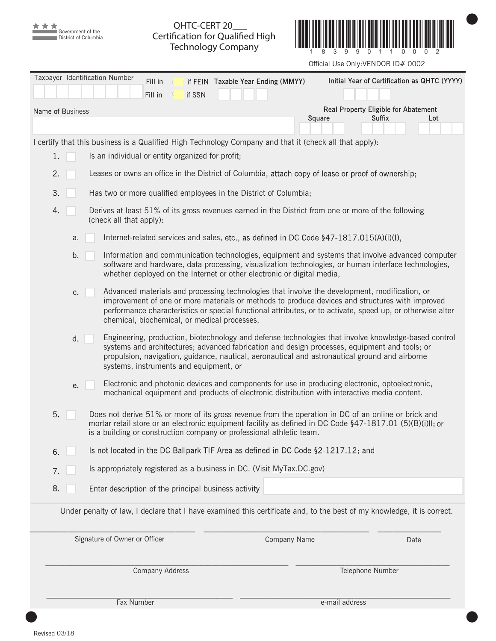

QHTC-CERT 20\_\_\_ Certification for Qualified High Technology Company



Official Use Only:VENDOR ID# 0002

|    |                  | Taxpayer Identification Number                   |                        |                                        |                                                      |                                                                        |                                                                                                         |                                                                                                                                                                                                                                                                                                                |
|----|------------------|--------------------------------------------------|------------------------|----------------------------------------|------------------------------------------------------|------------------------------------------------------------------------|---------------------------------------------------------------------------------------------------------|----------------------------------------------------------------------------------------------------------------------------------------------------------------------------------------------------------------------------------------------------------------------------------------------------------------|
|    |                  |                                                  | Fill in<br>Fill in     | if SSN                                 |                                                      | if FEIN Taxable Year Ending (MMYY)                                     |                                                                                                         | Initial Year of Certification as QHTC (YYYY)                                                                                                                                                                                                                                                                   |
|    | Name of Business |                                                  |                        |                                        |                                                      |                                                                        |                                                                                                         | Real Property Eligible for Abatement                                                                                                                                                                                                                                                                           |
|    |                  |                                                  |                        |                                        |                                                      |                                                                        | Square                                                                                                  | Suffix<br>Lot                                                                                                                                                                                                                                                                                                  |
|    |                  |                                                  |                        |                                        |                                                      |                                                                        | I certify that this business is a Qualified High Technology Company and that it (check all that apply): |                                                                                                                                                                                                                                                                                                                |
| 1. |                  | Is an individual or entity organized for profit; |                        |                                        |                                                      |                                                                        |                                                                                                         |                                                                                                                                                                                                                                                                                                                |
| 2. |                  |                                                  |                        |                                        |                                                      |                                                                        |                                                                                                         | Leases or owns an office in the District of Columbia, attach copy of lease or proof of ownership;                                                                                                                                                                                                              |
| 3. |                  |                                                  |                        |                                        |                                                      | Has two or more qualified employees in the District of Columbia;       |                                                                                                         |                                                                                                                                                                                                                                                                                                                |
| 4. |                  | (check all that apply):                          |                        |                                        |                                                      |                                                                        |                                                                                                         | Derives at least 51% of its gross revenues earned in the District from one or more of the following                                                                                                                                                                                                            |
|    | a.               |                                                  |                        |                                        |                                                      |                                                                        | Internet-related services and sales, etc., as defined in DC Code $$47-1817.015(A)(i)(I)$ ,              |                                                                                                                                                                                                                                                                                                                |
|    | b.               |                                                  |                        |                                        |                                                      | whether deployed on the Internet or other electronic or digital media, |                                                                                                         | Information and communication technologies, equipment and systems that involve advanced computer<br>software and hardware, data processing, visualization technologies, or human interface technologies,                                                                                                       |
|    | C.               |                                                  |                        |                                        | chemical, biochemical, or medical processes,         |                                                                        |                                                                                                         | Advanced materials and processing technologies that involve the development, modification, or<br>improvement of one or more materials or methods to produce devices and structures with improved<br>performance characteristics or special functional attributes, or to activate, speed up, or otherwise alter |
|    | d.               |                                                  |                        | systems, instruments and equipment, or |                                                      |                                                                        |                                                                                                         | Engineering, production, biotechnology and defense technologies that involve knowledge-based control<br>systems and architectures; advanced fabrication and design processes, equipment and tools; or<br>propulsion, navigation, guidance, nautical, aeronautical and astronautical ground and airborne        |
|    | е.               |                                                  |                        |                                        |                                                      |                                                                        |                                                                                                         | Electronic and photonic devices and components for use in producing electronic, optoelectronic,<br>mechanical equipment and products of electronic distribution with interactive media content.                                                                                                                |
| 5. |                  |                                                  |                        |                                        |                                                      | is a building or construction company or professional athletic team.   |                                                                                                         | Does not derive 51% or more of its gross revenue from the operation in DC of an online or brick and<br>mortar retail store or an electronic equipment facility as defined in DC Code §47-1817.01 (5)(B)(i)II; or                                                                                               |
| 6. |                  |                                                  |                        |                                        |                                                      |                                                                        | Is not located in the DC Ballpark TIF Area as defined in DC Code §2-1217.12; and                        |                                                                                                                                                                                                                                                                                                                |
| 7. |                  |                                                  |                        |                                        |                                                      | Is appropriately registered as a business in DC. (Visit MyTax.DC.gov)  |                                                                                                         |                                                                                                                                                                                                                                                                                                                |
| 8. |                  |                                                  |                        |                                        | Enter description of the principal business activity |                                                                        |                                                                                                         |                                                                                                                                                                                                                                                                                                                |
|    |                  |                                                  |                        |                                        |                                                      |                                                                        |                                                                                                         | Under penalty of law, I declare that I have examined this certificate and, to the best of my knowledge, it is correct.                                                                                                                                                                                         |
|    |                  | Signature of Owner or Officer                    |                        |                                        |                                                      | Company Name                                                           |                                                                                                         | Date                                                                                                                                                                                                                                                                                                           |
|    |                  |                                                  | <b>Company Address</b> |                                        |                                                      |                                                                        |                                                                                                         | Telephone Number                                                                                                                                                                                                                                                                                               |
|    |                  |                                                  |                        |                                        |                                                      |                                                                        |                                                                                                         |                                                                                                                                                                                                                                                                                                                |
|    |                  |                                                  |                        |                                        |                                                      |                                                                        |                                                                                                         |                                                                                                                                                                                                                                                                                                                |

 $\bullet$  and the contract of the contract of the contract of the contract of the contract of the contract of the contract of the contract of the contract of the contract of the contract of the contract of the contract of the

Fax Number e-mail address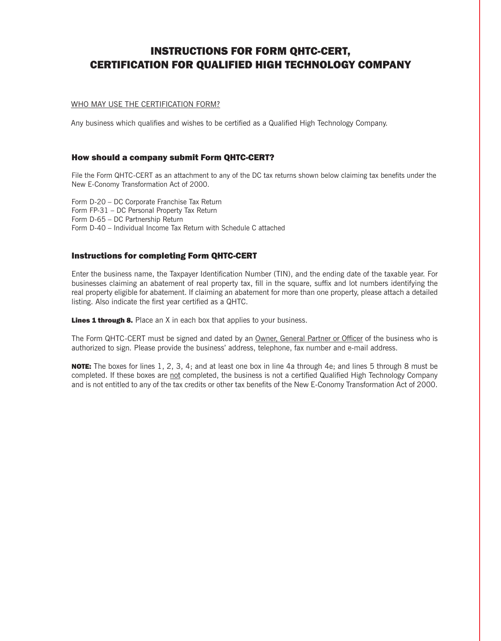### INSTRUCTIONS FOR FORM QHTC-CERT, CERTIFICATION FOR QUALIFIED HIGH TECHNOLOGY COMPANY

### WHO MAY USE THE CERTIFICATION FORM?

Any business which qualifies and wishes to be certified as a Qualified High Technology Company.

### How should a company submit Form QHTC-CERT?

File the Form QHTC-CERT as an attachment to any of the DC tax returns shown below claiming tax benefits under the New E-Conomy Transformation Act of 2000.

Form D-20 – DC Corporate Franchise Tax Return Form FP-31 – DC Personal Property Tax Return Form D-65 – DC Partnership Return Form D-40 – Individual Income Tax Return with Schedule C attached

### Instructions for completing Form QHTC-CERT

Enter the business name, the Taxpayer Identification Number (TIN), and the ending date of the taxable year. For businesses claiming an abatement of real property tax, fill in the square, suffix and lot numbers identifying the real property eligible for abatement. If claiming an abatement for more than one property, please attach a detailed listing. Also indicate the first year certified as a QHTC.

**Lines 1 through 8.** Place an X in each box that applies to your business.

The Form QHTC-CERT must be signed and dated by an Owner, General Partner or Officer of the business who is authorized to sign. Please provide the business' address, telephone, fax number and e-mail address.

NOTE: The boxes for lines 1, 2, 3, 4; and at least one box in line 4a through 4e; and lines 5 through 8 must be completed. If these boxes are not completed, the business is not a certified Qualified High Technology Company and is not entitled to any of the tax credits or other tax benefits of the New E-Conomy Transformation Act of 2000.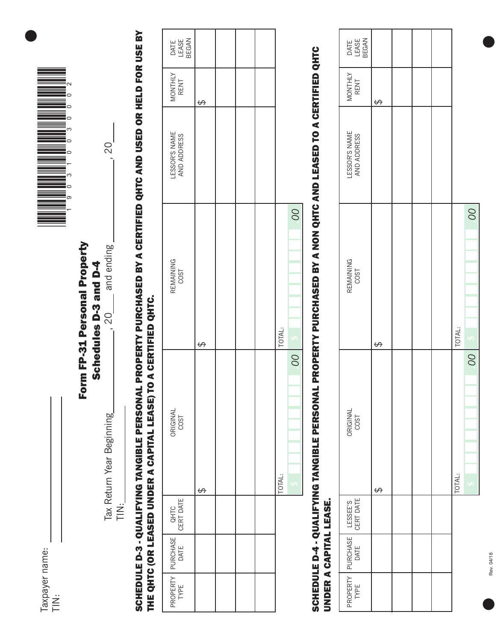| axpayer name: |  |
|---------------|--|



### Form FP-31 Personal Property Form FP-31 Personal Property

Schedules D-3 and D-4 Schedules D-3 and D-4  $.20$ 

Tax Return Year Beginning , 20 and ending , 20 Tax Return Year Beginning  $\ddot{\equiv}$ 

and ending

20

# SCHEDULE D-3 - QUALIFYING TANGIBLE PERSONAL PROPERTY PURCHASED BY A CERTIFIED QHTC AND USED OR HELD FOR USE BY **SCHEDULE D-3 - QUALIFYING TANGIBLE PERSONAL PROPERTY PURCHASED BY A CERTIFIED QHTC AND USED OR HELD FOR USE BY** THE QHTC (OR LEASED UNDER A CAPITAL LEASE) TO A CERTIFIED QHTC. THE QHTC (OR LEASED UNDER A CAPITAL LEASE) TO A CERTIFIED QHTC.

| DATE<br>LEASE<br>BEGAN                        |   |  |        |                                      |
|-----------------------------------------------|---|--|--------|--------------------------------------|
| MONTHLY<br>RENT                               | ↔ |  |        |                                      |
| LESSOR'S NAME<br>AND ADDRESS                  |   |  |        |                                      |
| REMAINING<br>COST                             | ↔ |  | TOTAL: | OO                                   |
| ORIGINAL<br>COST                              | ↔ |  | TOTAL: | $\overline{SO}$<br>$\leftrightarrow$ |
|                                               |   |  |        |                                      |
| PROPERTY PURCHASE QHTC<br>TYPE DATE CERT DATE |   |  |        |                                      |
|                                               |   |  |        |                                      |

## SCHEDULE D-4 - QUALIFYING TANGIBLE PERSONAL PROPERTY PURCHASED BY A NON QHTC AND LEASED TO A CERTIFIED QHTC SCHEDULE D-4 - QUALIFYING TANGIBLE PERSONAL PROPERTY PURCHASED BY A NON QHTC AND LEASED TO A CERTIFIED QHTC UNDER A CAPITAL LEASE. UNDER A CAPITAL LEASE.

| DATE<br>LEASE<br>BEGAN                            |   |  |        |                                      |
|---------------------------------------------------|---|--|--------|--------------------------------------|
| MONTHLY                                           | ↔ |  |        |                                      |
| LESSOR'S NAME<br>AND ADDRESS                      |   |  |        |                                      |
| REMAINING<br>COST                                 | ↔ |  | TOTAL: | 00<br>Ģ                              |
| ORIGINAL<br>COST                                  | ↔ |  | TOTAL: | $\overline{SO}$<br>$\leftrightarrow$ |
|                                                   |   |  |        |                                      |
| PROPERTY PURCHASE LESSEE'S<br>TYPE DATE CERT DATE |   |  |        |                                      |
|                                                   |   |  |        |                                      |

Rev. 04/18

Rev. 04/18

 $\bullet$ 

 $\bullet$